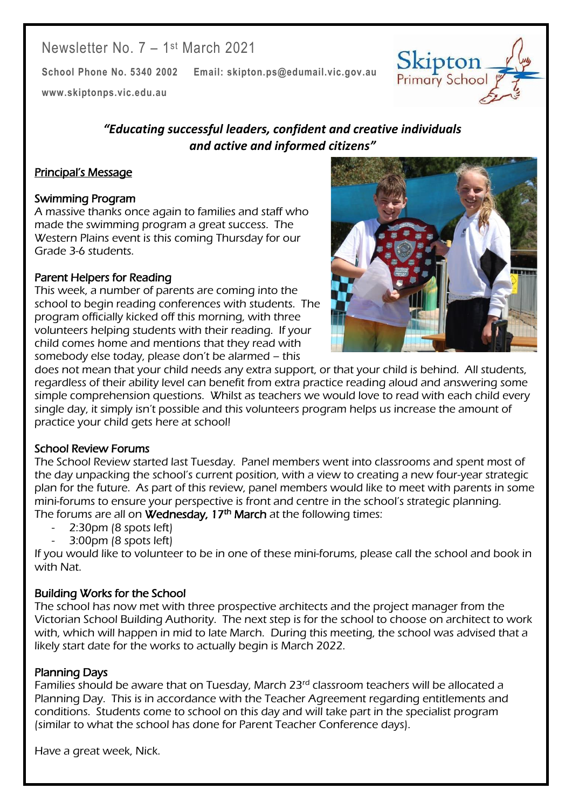# Newsletter No. 7 - 1st March 2021

**School Phone No. 5340 2002 Email: skipton.ps@edumail.vic.gov.au**

**[www.skiptonps.vic.edu.au](http://www.skiptonps.vic.edu.au/)**

## *"Educating successful leaders, confident and creative individuals and active and informed citizens"*

### Principal's Message

#### Swimming Program

A massive thanks once again to families and staff who made the swimming program a great success. The Western Plains event is this coming Thursday for our Grade 3-6 students.

#### Parent Helpers for Reading

This week, a number of parents are coming into the school to begin reading conferences with students. The program officially kicked off this morning, with three volunteers helping students with their reading. If your child comes home and mentions that they read with somebody else today, please don't be alarmed – this



Skipton Primary School

Centacare South West

does not mean that your child needs any extra support, or that your child is behind. All students, regardless of their ability level can benefit from extra practice reading aloud and answering some simple comprehension questions. Whilst as teachers we would love to read with each child every single day, it simply isn't possible and this volunteers program helps us increase the amount of practice your child gets here at school!

#### School Review Forums

The School Review started last Tuesday. Panel members went into classrooms and spent most of the day unpacking the school's current position, with a view to creating a new four-year strategic plan for the future. As part of this review, panel members would like to meet with parents in some mini-forums to ensure your perspective is front and centre in the school's strategic planning. The forums are all on **Wednesday, 17<sup>th</sup> March** at the following times:

- 2:30pm (8 spots left)
- 3:00pm (8 spots left)

If you would like to volunteer to be in one of these mini-forums, please call the school and book in with Nat.

#### Building Works for the School

The school has now met with three prospective architects and the project manager from the Victorian School Building Authority. The next step is for the school to choose on architect to work with, which will happen in mid to late March. During this meeting, the school was advised that a likely start date for the works to actually begin is March 2022.

#### Planning Days

Families should be aware that on Tuesday, March 23<sup>rd</sup> classroom teachers will be allocated a Planning Day. This is in accordance with the Teacher Agreement regarding entitlements and conditions. Students come to school on this day and will take part in the specialist program (similar to what the school has done for Parent Teacher Conference days).

Have a great week, Nick.